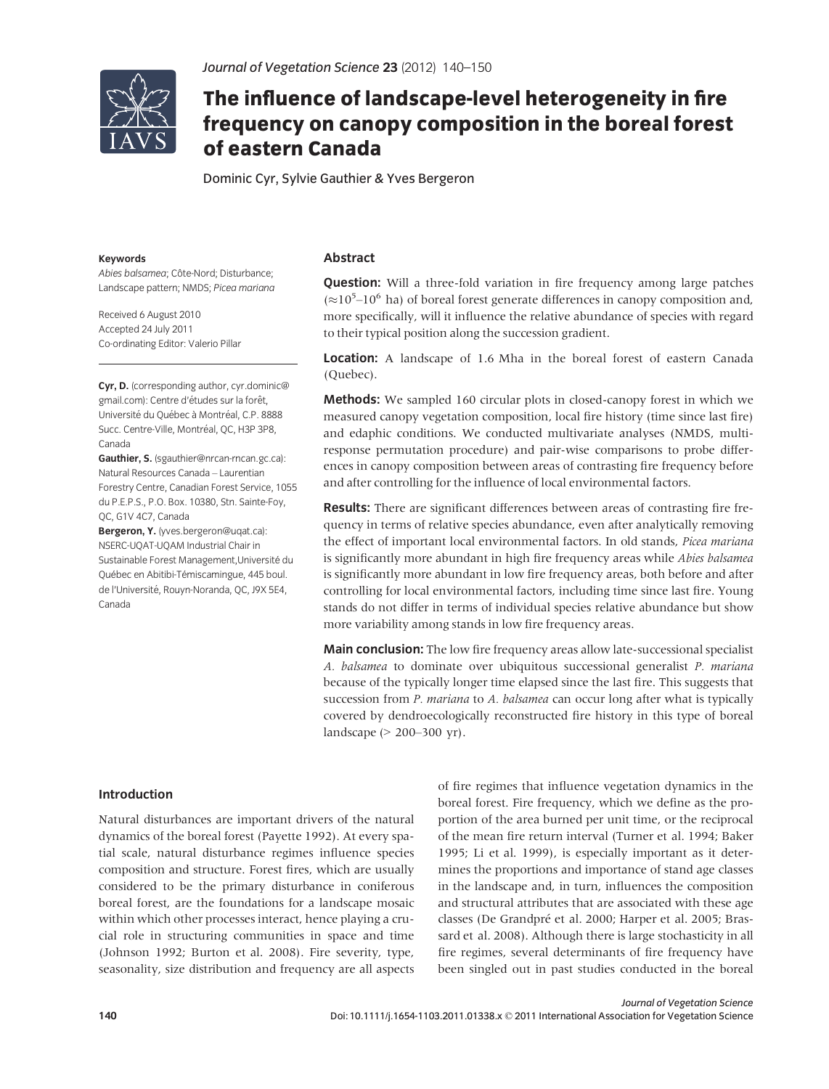

# The influence of landscape-level heterogeneity in fire frequency on canopy composition in the boreal forest of eastern Canada

Dominic Cyr, Sylvie Gauthier & Yves Bergeron

## Keywords

Abies balsamea; Côte-Nord; Disturbance; Landscape pattern; NMDS; Picea mariana

Received 6 August 2010 Accepted 24 July 2011 Co-ordinating Editor: Valerio Pillar

Cyr, D. (corresponding author, cyr.dominic@ gmail.com): Centre d'études sur la forêt, Université du Québec à Montréal, C.P. 8888 Succ. Centre-Ville, Montréal, OC, H3P 3P8, Canada

Gauthier, S. (sgauthier@nrcan-rncan.gc.ca): Natural Resources Canada – Laurentian Forestry Centre, Canadian Forest Service, 1055 du P.E.P.S., P.O. Box. 10380, Stn. Sainte-Foy, QC, G1V 4C7, Canada

Bergeron, Y. (yves.bergeron@uqat.ca): NSERC-UQAT-UQAM Industrial Chair in Sustainable Forest Management, Université du Québec en Abitibi-Témiscamingue, 445 boul. de l'Université, Rouyn-Noranda, QC, J9X 5E4, Canada

## Abstract

**Question:** Will a three-fold variation in fire frequency among large patches  $(\approx 10^5 - 10^6$  ha) of boreal forest generate differences in canopy composition and, more specifically, will it influence the relative abundance of species with regard to their typical position along the succession gradient.

Location: A landscape of 1.6 Mha in the boreal forest of eastern Canada (Quebec).

Methods: We sampled 160 circular plots in closed-canopy forest in which we measured canopy vegetation composition, local fire history (time since last fire) and edaphic conditions. We conducted multivariate analyses (NMDS, multiresponse permutation procedure) and pair-wise comparisons to probe differences in canopy composition between areas of contrasting fire frequency before and after controlling for the influence of local environmental factors.

Results: There are significant differences between areas of contrasting fire frequency in terms of relative species abundance, even after analytically removing the effect of important local environmental factors. In old stands, Picea mariana is significantly more abundant in high fire frequency areas while Abies balsamea is significantly more abundant in low fire frequency areas, both before and after controlling for local environmental factors, including time since last fire. Young stands do not differ in terms of individual species relative abundance but show more variability among stands in low fire frequency areas.

**Main conclusion:** The low fire frequency areas allow late-successional specialist A. balsamea to dominate over ubiquitous successional generalist P. mariana because of the typically longer time elapsed since the last fire. This suggests that succession from P. mariana to A. balsamea can occur long after what is typically covered by dendroecologically reconstructed fire history in this type of boreal landscape (> 200–300 yr).

## Introduction

Natural disturbances are important drivers of the natural dynamics of the boreal forest (Payette 1992). At every spatial scale, natural disturbance regimes influence species composition and structure. Forest fires, which are usually considered to be the primary disturbance in coniferous boreal forest, are the foundations for a landscape mosaic within which other processes interact, hence playing a crucial role in structuring communities in space and time (Johnson 1992; Burton et al. 2008). Fire severity, type, seasonality, size distribution and frequency are all aspects

of fire regimes that influence vegetation dynamics in the boreal forest. Fire frequency, which we define as the proportion of the area burned per unit time, or the reciprocal of the mean fire return interval (Turner et al. 1994; Baker 1995; Li et al. 1999), is especially important as it determines the proportions and importance of stand age classes in the landscape and, in turn, influences the composition and structural attributes that are associated with these age classes (De Grandpré et al. 2000; Harper et al. 2005; Brassard et al. 2008). Although there is large stochasticity in all fire regimes, several determinants of fire frequency have been singled out in past studies conducted in the boreal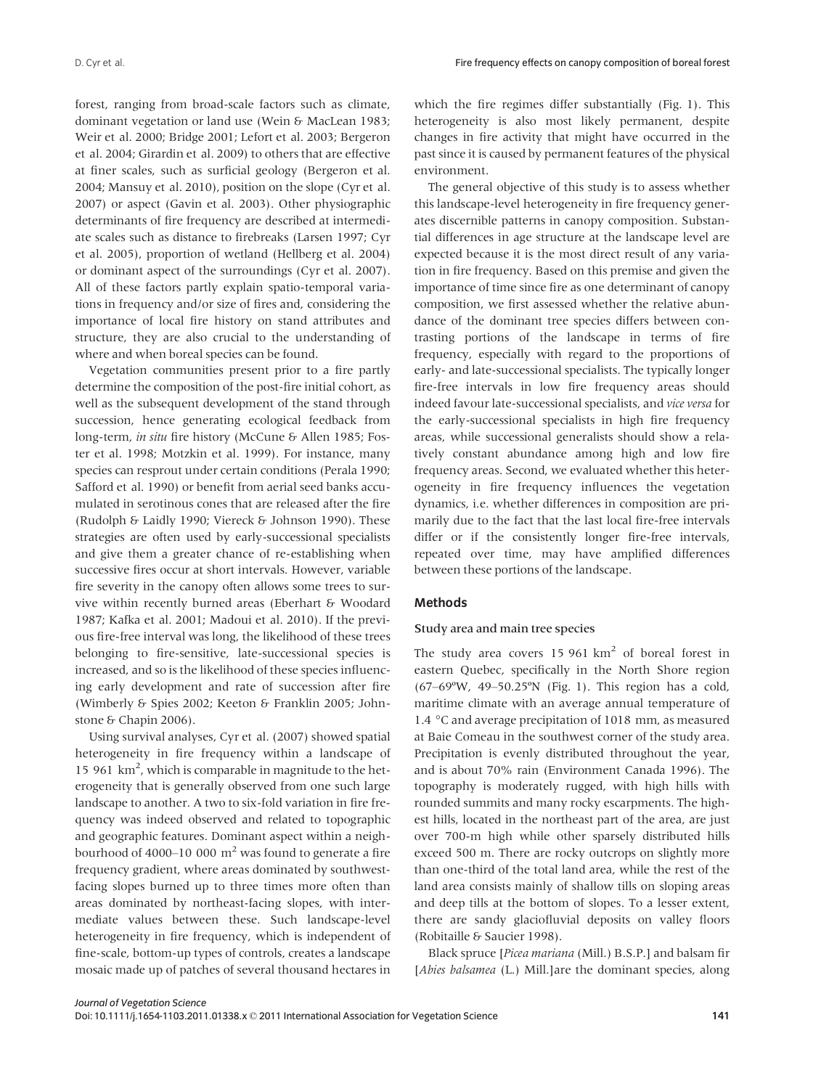forest, ranging from broad-scale factors such as climate, dominant vegetation or land use (Wein & MacLean 1983; Weir et al. 2000; Bridge 2001; Lefort et al. 2003; Bergeron et al. 2004; Girardin et al. 2009) to others that are effective at finer scales, such as surficial geology (Bergeron et al. 2004; Mansuy et al. 2010), position on the slope (Cyr et al. 2007) or aspect (Gavin et al. 2003). Other physiographic determinants of fire frequency are described at intermediate scales such as distance to firebreaks (Larsen 1997; Cyr et al. 2005), proportion of wetland (Hellberg et al. 2004) or dominant aspect of the surroundings (Cyr et al. 2007). All of these factors partly explain spatio-temporal variations in frequency and/or size of fires and, considering the importance of local fire history on stand attributes and structure, they are also crucial to the understanding of where and when boreal species can be found.

Vegetation communities present prior to a fire partly determine the composition of the post-fire initial cohort, as well as the subsequent development of the stand through succession, hence generating ecological feedback from long-term, in situ fire history (McCune & Allen 1985; Foster et al. 1998; Motzkin et al. 1999). For instance, many species can resprout under certain conditions (Perala 1990; Safford et al. 1990) or benefit from aerial seed banks accumulated in serotinous cones that are released after the fire (Rudolph & Laidly 1990; Viereck & Johnson 1990). These strategies are often used by early-successional specialists and give them a greater chance of re-establishing when successive fires occur at short intervals. However, variable fire severity in the canopy often allows some trees to survive within recently burned areas (Eberhart & Woodard 1987; Kafka et al. 2001; Madoui et al. 2010). If the previous fire-free interval was long, the likelihood of these trees belonging to fire-sensitive, late-successional species is increased, and so is the likelihood of these species influencing early development and rate of succession after fire (Wimberly & Spies 2002; Keeton & Franklin 2005; Johnstone & Chapin 2006).

Using survival analyses, Cyr et al. (2007) showed spatial heterogeneity in fire frequency within a landscape of 15 961 km<sup>2</sup>, which is comparable in magnitude to the heterogeneity that is generally observed from one such large landscape to another. A two to six-fold variation in fire frequency was indeed observed and related to topographic and geographic features. Dominant aspect within a neighbourhood of 4000–10 000  $m<sup>2</sup>$  was found to generate a fire frequency gradient, where areas dominated by southwestfacing slopes burned up to three times more often than areas dominated by northeast-facing slopes, with intermediate values between these. Such landscape-level heterogeneity in fire frequency, which is independent of fine-scale, bottom-up types of controls, creates a landscape mosaic made up of patches of several thousand hectares in

which the fire regimes differ substantially (Fig. 1). This heterogeneity is also most likely permanent, despite changes in fire activity that might have occurred in the past since it is caused by permanent features of the physical environment.

The general objective of this study is to assess whether this landscape-level heterogeneity in fire frequency generates discernible patterns in canopy composition. Substantial differences in age structure at the landscape level are expected because it is the most direct result of any variation in fire frequency. Based on this premise and given the importance of time since fire as one determinant of canopy composition, we first assessed whether the relative abundance of the dominant tree species differs between contrasting portions of the landscape in terms of fire frequency, especially with regard to the proportions of early- and late-successional specialists. The typically longer fire-free intervals in low fire frequency areas should indeed favour late-successional specialists, and vice versa for the early-successional specialists in high fire frequency areas, while successional generalists should show a relatively constant abundance among high and low fire frequency areas. Second, we evaluated whether this heterogeneity in fire frequency influences the vegetation dynamics, i.e. whether differences in composition are primarily due to the fact that the last local fire-free intervals differ or if the consistently longer fire-free intervals, repeated over time, may have amplified differences between these portions of the landscape.

## Methods

## Study area and main tree species

The study area covers  $15\,961\ \mathrm{km}^2$  of boreal forest in eastern Quebec, specifically in the North Shore region (67–69ºW, 49–50.25ºN (Fig. 1). This region has a cold, maritime climate with an average annual temperature of 1.4 °C and average precipitation of 1018 mm, as measured at Baie Comeau in the southwest corner of the study area. Precipitation is evenly distributed throughout the year, and is about 70% rain (Environment Canada 1996). The topography is moderately rugged, with high hills with rounded summits and many rocky escarpments. The highest hills, located in the northeast part of the area, are just over 700-m high while other sparsely distributed hills exceed 500 m. There are rocky outcrops on slightly more than one-third of the total land area, while the rest of the land area consists mainly of shallow tills on sloping areas and deep tills at the bottom of slopes. To a lesser extent, there are sandy glaciofluvial deposits on valley floors (Robitaille & Saucier 1998).

Black spruce [Picea mariana (Mill.) B.S.P.] and balsam fir [Abies balsamea (L.) Mill.]are the dominant species, along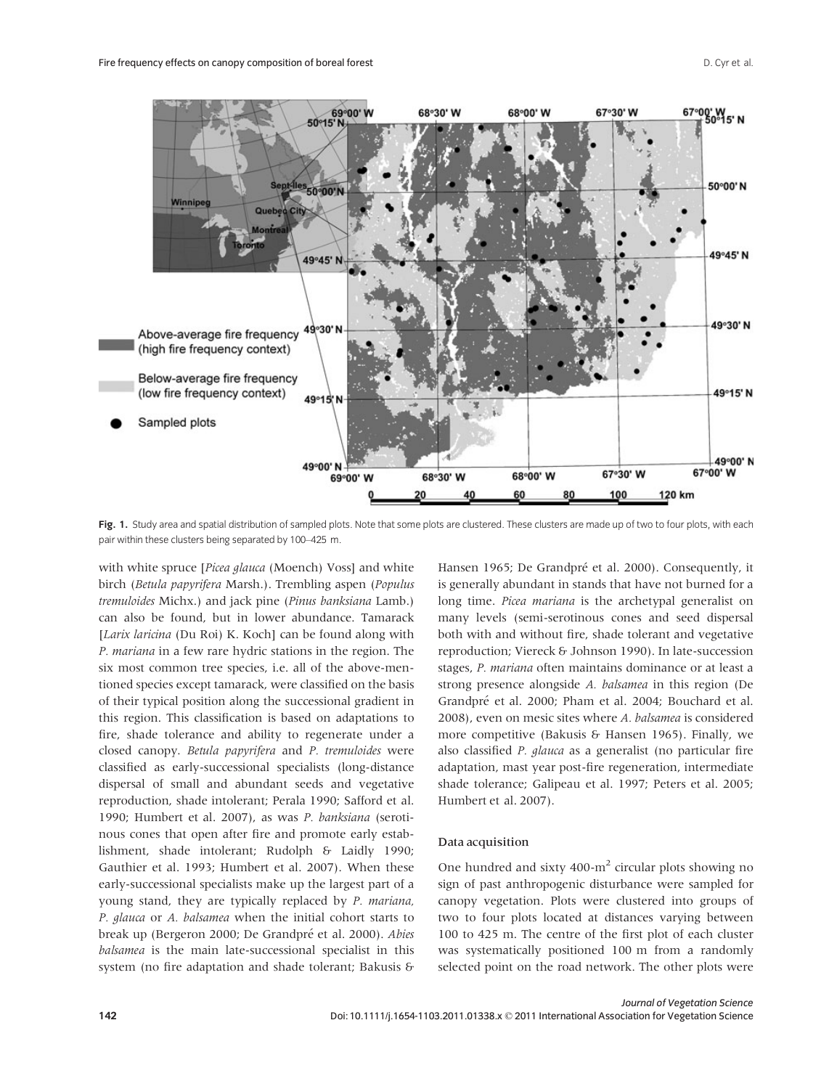

Fig. 1. Study area and spatial distribution of sampled plots. Note that some plots are clustered. These clusters are made up of two to four plots, with each pair within these clusters being separated by 100–425 m.

with white spruce [Picea glauca (Moench) Voss] and white birch (Betula papyrifera Marsh.). Trembling aspen (Populus tremuloides Michx.) and jack pine (Pinus banksiana Lamb.) can also be found, but in lower abundance. Tamarack [Larix laricina (Du Roi) K. Koch] can be found along with P. mariana in a few rare hydric stations in the region. The six most common tree species, i.e. all of the above-mentioned species except tamarack, were classified on the basis of their typical position along the successional gradient in this region. This classification is based on adaptations to fire, shade tolerance and ability to regenerate under a closed canopy. Betula papyrifera and P. tremuloides were classified as early-successional specialists (long-distance dispersal of small and abundant seeds and vegetative reproduction, shade intolerant; Perala 1990; Safford et al. 1990; Humbert et al. 2007), as was P. banksiana (serotinous cones that open after fire and promote early establishment, shade intolerant; Rudolph & Laidly 1990; Gauthier et al. 1993; Humbert et al. 2007). When these early-successional specialists make up the largest part of a young stand, they are typically replaced by P. mariana, P. glauca or A. balsamea when the initial cohort starts to break up (Bergeron 2000; De Grandpré et al. 2000). Abies balsamea is the main late-successional specialist in this system (no fire adaptation and shade tolerant; Bakusis &

Hansen 1965; De Grandpré et al. 2000). Consequently, it is generally abundant in stands that have not burned for a long time. Picea mariana is the archetypal generalist on many levels (semi-serotinous cones and seed dispersal both with and without fire, shade tolerant and vegetative reproduction; Viereck & Johnson 1990). In late-succession stages, P. mariana often maintains dominance or at least a strong presence alongside A. balsamea in this region (De Grandpré et al. 2000; Pham et al. 2004; Bouchard et al. 2008), even on mesic sites where A. balsamea is considered more competitive (Bakusis & Hansen 1965). Finally, we also classified P. glauca as a generalist (no particular fire adaptation, mast year post-fire regeneration, intermediate shade tolerance; Galipeau et al. 1997; Peters et al. 2005; Humbert et al. 2007).

#### Data acquisition

One hundred and sixty  $400 \text{·m}^2$  circular plots showing no sign of past anthropogenic disturbance were sampled for canopy vegetation. Plots were clustered into groups of two to four plots located at distances varying between 100 to 425 m. The centre of the first plot of each cluster was systematically positioned 100 m from a randomly selected point on the road network. The other plots were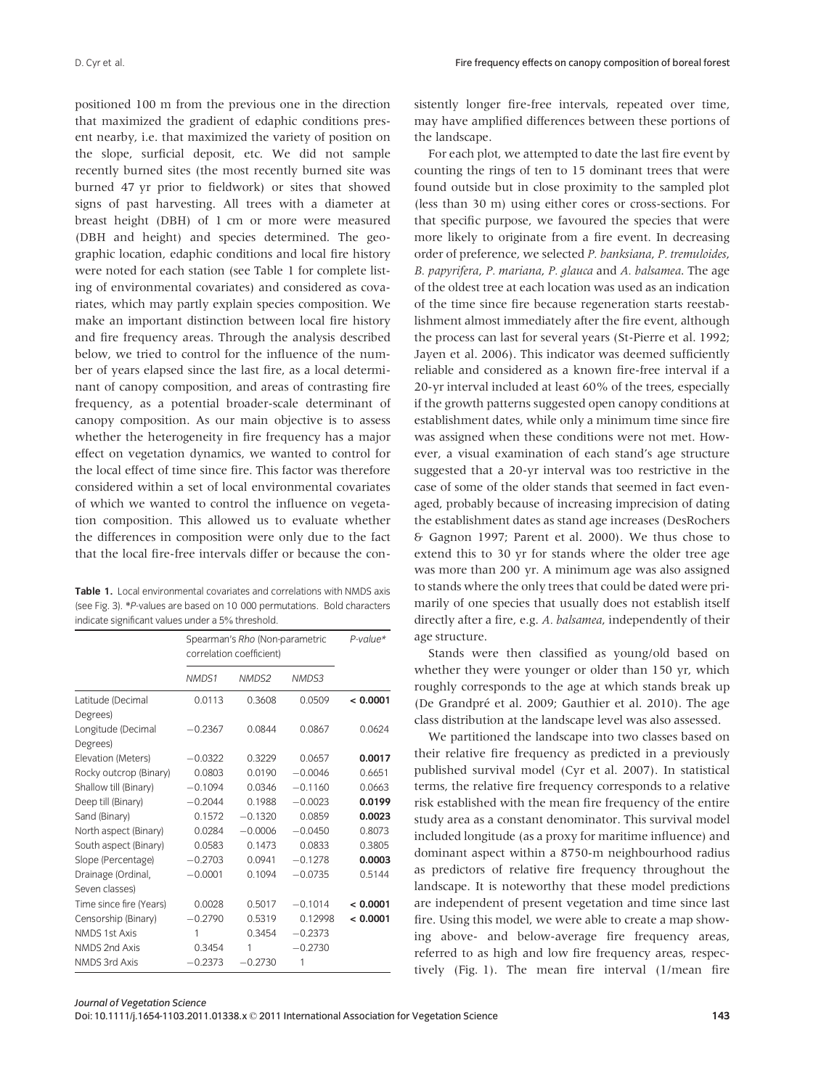positioned 100 m from the previous one in the direction that maximized the gradient of edaphic conditions present nearby, i.e. that maximized the variety of position on the slope, surficial deposit, etc. We did not sample recently burned sites (the most recently burned site was burned 47 yr prior to fieldwork) or sites that showed signs of past harvesting. All trees with a diameter at breast height (DBH) of 1 cm or more were measured (DBH and height) and species determined. The geographic location, edaphic conditions and local fire history were noted for each station (see Table 1 for complete listing of environmental covariates) and considered as covariates, which may partly explain species composition. We make an important distinction between local fire history and fire frequency areas. Through the analysis described below, we tried to control for the influence of the number of years elapsed since the last fire, as a local determinant of canopy composition, and areas of contrasting fire frequency, as a potential broader-scale determinant of canopy composition. As our main objective is to assess whether the heterogeneity in fire frequency has a major effect on vegetation dynamics, we wanted to control for the local effect of time since fire. This factor was therefore considered within a set of local environmental covariates of which we wanted to control the influence on vegetation composition. This allowed us to evaluate whether the differences in composition were only due to the fact that the local fire-free intervals differ or because the con-

Table 1. Local environmental covariates and correlations with NMDS axis (see Fig. 3). \*P-values are based on 10 000 permutations. Bold characters indicate significant values under a 5% threshold.

|                                | Spearman's Rho (Non-parametric<br>correlation coefficient) |                   |                   | P-value* |
|--------------------------------|------------------------------------------------------------|-------------------|-------------------|----------|
|                                | NMD <sub>S1</sub>                                          | NMD <sub>S2</sub> | NMD <sub>S3</sub> |          |
| Latitude (Decimal<br>Degrees)  | 0.0113                                                     | 0.3608            | 0.0509            | < 0.0001 |
| Longitude (Decimal<br>Degrees) | $-0.2367$                                                  | 0.0844            | 0.0867            | 0.0624   |
| Elevation (Meters)             | $-0.0322$                                                  | 0.3229            | 0.0657            | 0.0017   |
| Rocky outcrop (Binary)         | 0.0803                                                     | 0.0190            | $-0.0046$         | 0.6651   |
| Shallow till (Binary)          | $-0.1094$                                                  | 0.0346            | $-0.1160$         | 0.0663   |
| Deep till (Binary)             | $-0.2044$                                                  | 0.1988            | $-0.0023$         | 0.0199   |
| Sand (Binary)                  | 0.1572                                                     | $-0.1320$         | 0.0859            | 0.0023   |
| North aspect (Binary)          | 0.0284                                                     | $-0.0006$         | $-0.0450$         | 0.8073   |
| South aspect (Binary)          | 0.0583                                                     | 0.1473            | 0.0833            | 0.3805   |
| Slope (Percentage)             | $-0.2703$                                                  | 0.0941            | $-0.1278$         | 0.0003   |
| Drainage (Ordinal,             | $-0.0001$                                                  | 0.1094            | $-0.0735$         | 0.5144   |
| Seven classes)                 |                                                            |                   |                   |          |
| Time since fire (Years)        | 0.0028                                                     | 0.5017            | $-0.1014$         | < 0.0001 |
| Censorship (Binary)            | $-0.2790$                                                  | 0.5319            | 0.12998           | < 0.0001 |
| NMDS 1st Axis                  | 1                                                          | 0.3454            | $-0.2373$         |          |
| NMDS 2nd Axis                  | 0.3454                                                     | 1                 | $-0.2730$         |          |
| NMDS 3rd Axis                  | $-0.2373$                                                  | $-0.2730$         | 1                 |          |

sistently longer fire-free intervals, repeated over time, may have amplified differences between these portions of the landscape.

For each plot, we attempted to date the last fire event by counting the rings of ten to 15 dominant trees that were found outside but in close proximity to the sampled plot (less than 30 m) using either cores or cross-sections. For that specific purpose, we favoured the species that were more likely to originate from a fire event. In decreasing order of preference, we selected P. banksiana, P. tremuloides, B. papyrifera, P. mariana, P. glauca and A. balsamea. The age of the oldest tree at each location was used as an indication of the time since fire because regeneration starts reestablishment almost immediately after the fire event, although the process can last for several years (St-Pierre et al. 1992; Jayen et al. 2006). This indicator was deemed sufficiently reliable and considered as a known fire-free interval if a 20-yr interval included at least 60% of the trees, especially if the growth patterns suggested open canopy conditions at establishment dates, while only a minimum time since fire was assigned when these conditions were not met. However, a visual examination of each stand's age structure suggested that a 20-yr interval was too restrictive in the case of some of the older stands that seemed in fact evenaged, probably because of increasing imprecision of dating the establishment dates as stand age increases (DesRochers & Gagnon 1997; Parent et al. 2000). We thus chose to extend this to 30 yr for stands where the older tree age was more than 200 yr. A minimum age was also assigned to stands where the only trees that could be dated were primarily of one species that usually does not establish itself directly after a fire, e.g. A. balsamea, independently of their age structure.

Stands were then classified as young/old based on whether they were younger or older than 150 yr, which roughly corresponds to the age at which stands break up (De Grandpré et al. 2009; Gauthier et al. 2010). The age class distribution at the landscape level was also assessed.

We partitioned the landscape into two classes based on their relative fire frequency as predicted in a previously published survival model (Cyr et al. 2007). In statistical terms, the relative fire frequency corresponds to a relative risk established with the mean fire frequency of the entire study area as a constant denominator. This survival model included longitude (as a proxy for maritime influence) and dominant aspect within a 8750-m neighbourhood radius as predictors of relative fire frequency throughout the landscape. It is noteworthy that these model predictions are independent of present vegetation and time since last fire. Using this model, we were able to create a map showing above- and below-average fire frequency areas, referred to as high and low fire frequency areas, respectively (Fig. 1). The mean fire interval (1/mean fire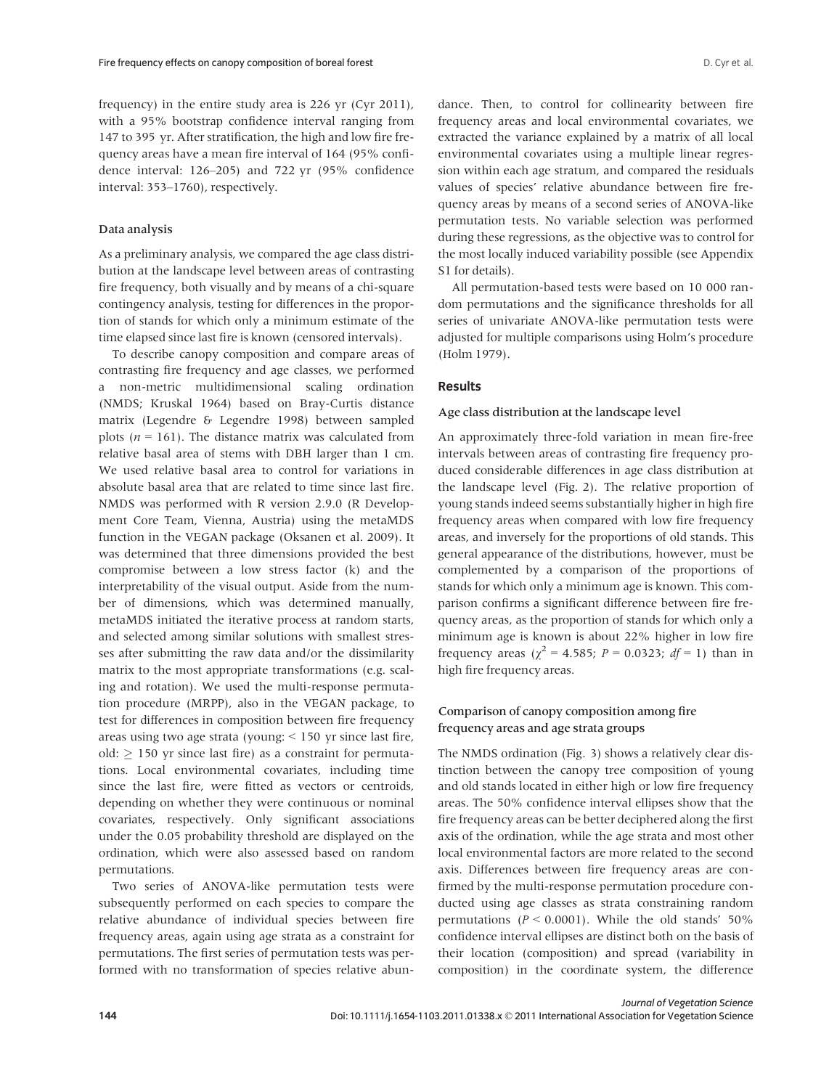frequency) in the entire study area is 226 yr (Cyr 2011), with a 95% bootstrap confidence interval ranging from 147 to 395 yr. After stratification, the high and low fire frequency areas have a mean fire interval of 164 (95% confidence interval: 126–205) and 722 yr (95% confidence interval: 353–1760), respectively.

### Data analysis

As a preliminary analysis, we compared the age class distribution at the landscape level between areas of contrasting fire frequency, both visually and by means of a chi-square contingency analysis, testing for differences in the proportion of stands for which only a minimum estimate of the time elapsed since last fire is known (censored intervals).

To describe canopy composition and compare areas of contrasting fire frequency and age classes, we performed a non-metric multidimensional scaling ordination (NMDS; Kruskal 1964) based on Bray-Curtis distance matrix (Legendre & Legendre 1998) between sampled plots ( $n = 161$ ). The distance matrix was calculated from relative basal area of stems with DBH larger than 1 cm. We used relative basal area to control for variations in absolute basal area that are related to time since last fire. NMDS was performed with R version 2.9.0 (R Development Core Team, Vienna, Austria) using the metaMDS function in the VEGAN package (Oksanen et al. 2009). It was determined that three dimensions provided the best compromise between a low stress factor (k) and the interpretability of the visual output. Aside from the number of dimensions, which was determined manually, metaMDS initiated the iterative process at random starts, and selected among similar solutions with smallest stresses after submitting the raw data and/or the dissimilarity matrix to the most appropriate transformations (e.g. scaling and rotation). We used the multi-response permutation procedure (MRPP), also in the VEGAN package, to test for differences in composition between fire frequency areas using two age strata (young: < 150 yr since last fire, old:  $\geq$  150 yr since last fire) as a constraint for permutations. Local environmental covariates, including time since the last fire, were fitted as vectors or centroids, depending on whether they were continuous or nominal covariates, respectively. Only significant associations under the 0.05 probability threshold are displayed on the ordination, which were also assessed based on random permutations.

Two series of ANOVA-like permutation tests were subsequently performed on each species to compare the relative abundance of individual species between fire frequency areas, again using age strata as a constraint for permutations. The first series of permutation tests was performed with no transformation of species relative abundance. Then, to control for collinearity between fire frequency areas and local environmental covariates, we extracted the variance explained by a matrix of all local environmental covariates using a multiple linear regression within each age stratum, and compared the residuals values of species' relative abundance between fire frequency areas by means of a second series of ANOVA-like permutation tests. No variable selection was performed during these regressions, as the objective was to control for the most locally induced variability possible (see Appendix S1 for details).

All permutation-based tests were based on 10 000 random permutations and the significance thresholds for all series of univariate ANOVA-like permutation tests were adjusted for multiple comparisons using Holm's procedure (Holm 1979).

#### Results

## Age class distribution at the landscape level

An approximately three-fold variation in mean fire-free intervals between areas of contrasting fire frequency produced considerable differences in age class distribution at the landscape level (Fig. 2). The relative proportion of young stands indeed seems substantially higher in high fire frequency areas when compared with low fire frequency areas, and inversely for the proportions of old stands. This general appearance of the distributions, however, must be complemented by a comparison of the proportions of stands for which only a minimum age is known. This comparison confirms a significant difference between fire frequency areas, as the proportion of stands for which only a minimum age is known is about 22% higher in low fire frequency areas ( $\chi^2$  = 4.585; P = 0.0323; df = 1) than in high fire frequency areas.

## Comparison of canopy composition among fire frequency areas and age strata groups

The NMDS ordination (Fig. 3) shows a relatively clear distinction between the canopy tree composition of young and old stands located in either high or low fire frequency areas. The 50% confidence interval ellipses show that the fire frequency areas can be better deciphered along the first axis of the ordination, while the age strata and most other local environmental factors are more related to the second axis. Differences between fire frequency areas are confirmed by the multi-response permutation procedure conducted using age classes as strata constraining random permutations ( $P < 0.0001$ ). While the old stands' 50% confidence interval ellipses are distinct both on the basis of their location (composition) and spread (variability in composition) in the coordinate system, the difference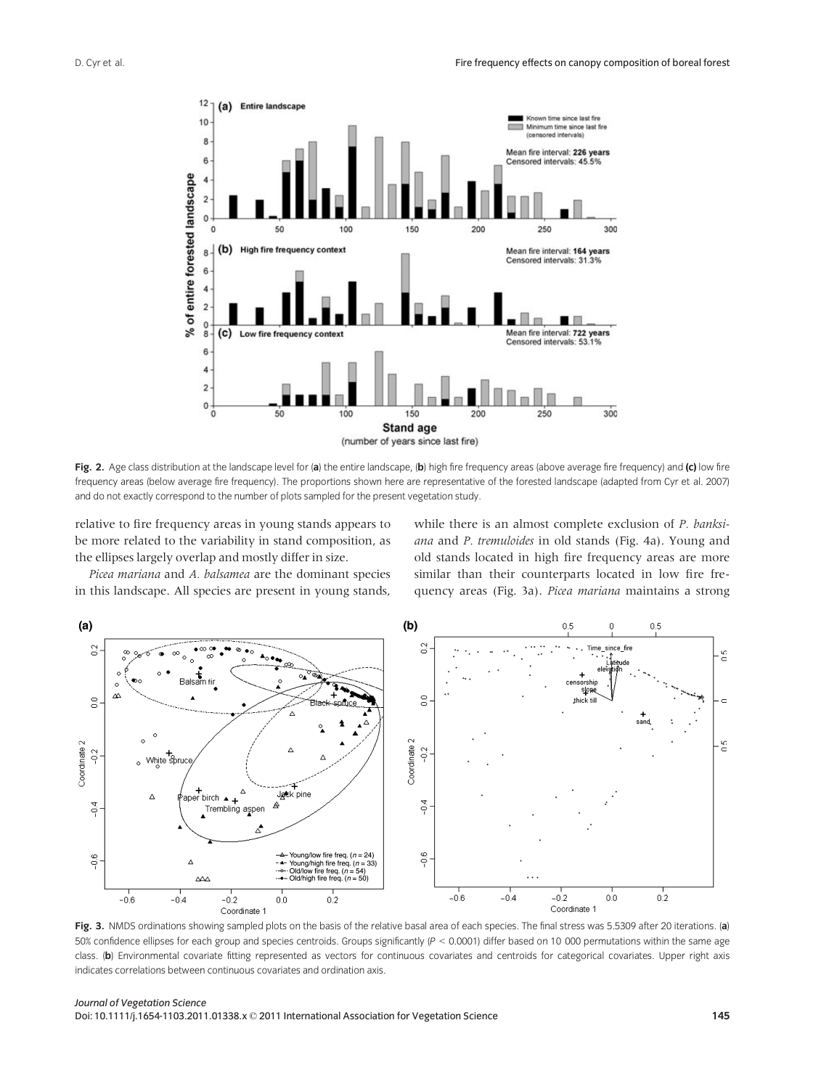

Fig. 2. Age class distribution at the landscape level for (a) the entire landscape, (b) high fire frequency areas (above average fire frequency) and (c) low fire frequency areas (below average fire frequency). The proportions shown here are representative of the forested landscape (adapted from Cyr et al. 2007) and do not exactly correspond to the number of plots sampled for the present vegetation study.

relative to fire frequency areas in young stands appears to be more related to the variability in stand composition, as the ellipses largely overlap and mostly differ in size.

Picea mariana and A. balsamea are the dominant species in this landscape. All species are present in young stands,

while there is an almost complete exclusion of P. banksiana and P. tremuloides in old stands (Fig. 4a). Young and old stands located in high fire frequency areas are more similar than their counterparts located in low fire frequency areas (Fig. 3a). Picea mariana maintains a strong



Fig. 3. NMDS ordinations showing sampled plots on the basis of the relative basal area of each species. The final stress was 5.5309 after 20 iterations. (a) 50% confidence ellipses for each group and species centroids. Groups significantly (P < 0.0001) differ based on 10 000 permutations within the same age class. (b) Environmental covariate fitting represented as vectors for continuous covariates and centroids for categorical covariates. Upper right axis indicates correlations between continuous covariates and ordination axis.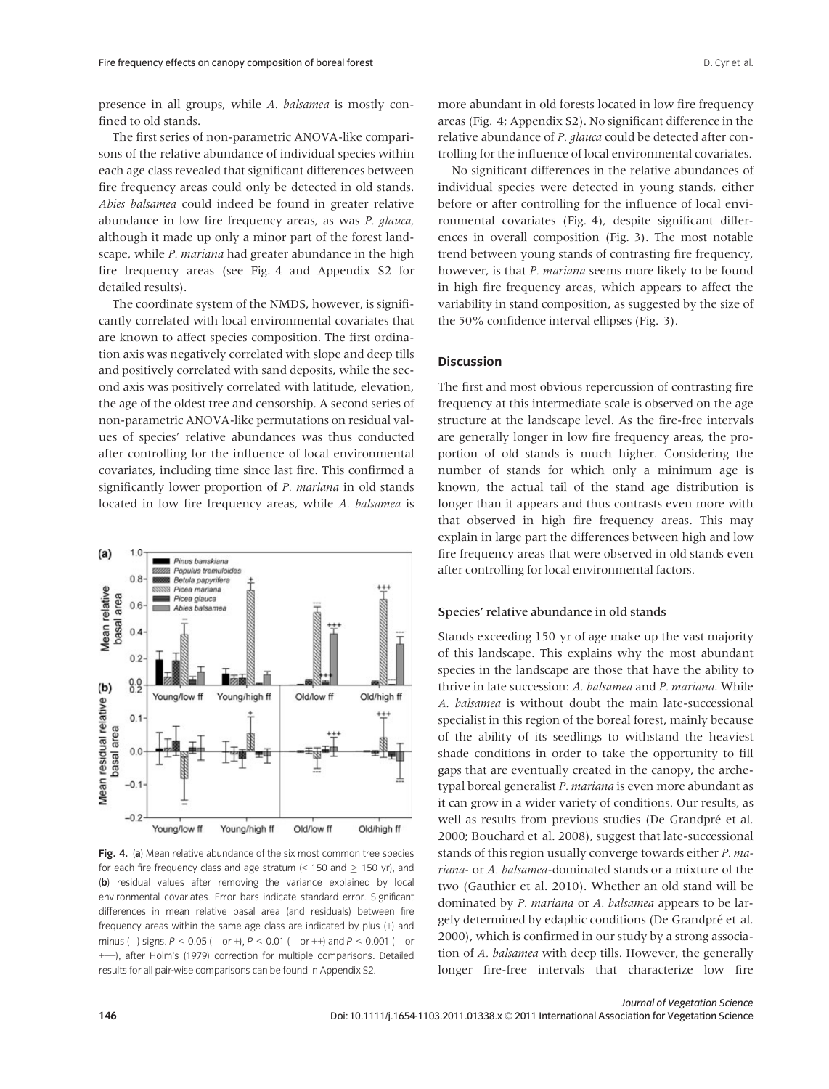presence in all groups, while A. balsamea is mostly confined to old stands.

The first series of non-parametric ANOVA-like comparisons of the relative abundance of individual species within each age class revealed that significant differences between fire frequency areas could only be detected in old stands. Abies balsamea could indeed be found in greater relative abundance in low fire frequency areas, as was P. glauca, although it made up only a minor part of the forest landscape, while P. mariana had greater abundance in the high fire frequency areas (see Fig. 4 and Appendix S2 for detailed results).

The coordinate system of the NMDS, however, is significantly correlated with local environmental covariates that are known to affect species composition. The first ordination axis was negatively correlated with slope and deep tills and positively correlated with sand deposits, while the second axis was positively correlated with latitude, elevation, the age of the oldest tree and censorship. A second series of non-parametric ANOVA-like permutations on residual values of species' relative abundances was thus conducted after controlling for the influence of local environmental covariates, including time since last fire. This confirmed a significantly lower proportion of P. mariana in old stands located in low fire frequency areas, while A. balsamea is



Fig. 4. (a) Mean relative abundance of the six most common tree species for each fire frequency class and age stratum  $\ll$  150 and  $\geq$  150 yr), and (b) residual values after removing the variance explained by local environmental covariates. Error bars indicate standard error. Significant differences in mean relative basal area (and residuals) between fire frequency areas within the same age class are indicated by plus (+) and minus (-) signs.  $P < 0.05$  (- or +),  $P < 0.01$  (- or ++) and  $P < 0.001$  (- or +++), after Holm's (1979) correction for multiple comparisons. Detailed results for all pair-wise comparisons can be found in Appendix S2.

more abundant in old forests located in low fire frequency areas (Fig. 4; Appendix S2). No significant difference in the relative abundance of P. glauca could be detected after controlling for the influence of local environmental covariates.

No significant differences in the relative abundances of individual species were detected in young stands, either before or after controlling for the influence of local environmental covariates (Fig. 4), despite significant differences in overall composition (Fig. 3). The most notable trend between young stands of contrasting fire frequency, however, is that P. mariana seems more likely to be found in high fire frequency areas, which appears to affect the variability in stand composition, as suggested by the size of the 50% confidence interval ellipses (Fig. 3).

## Discussion

The first and most obvious repercussion of contrasting fire frequency at this intermediate scale is observed on the age structure at the landscape level. As the fire-free intervals are generally longer in low fire frequency areas, the proportion of old stands is much higher. Considering the number of stands for which only a minimum age is known, the actual tail of the stand age distribution is longer than it appears and thus contrasts even more with that observed in high fire frequency areas. This may explain in large part the differences between high and low fire frequency areas that were observed in old stands even after controlling for local environmental factors.

#### Species' relative abundance in old stands

Stands exceeding 150 yr of age make up the vast majority of this landscape. This explains why the most abundant species in the landscape are those that have the ability to thrive in late succession: A. balsamea and P. mariana. While A. balsamea is without doubt the main late-successional specialist in this region of the boreal forest, mainly because of the ability of its seedlings to withstand the heaviest shade conditions in order to take the opportunity to fill gaps that are eventually created in the canopy, the archetypal boreal generalist P. mariana is even more abundant as it can grow in a wider variety of conditions. Our results, as well as results from previous studies (De Grandpré et al. 2000; Bouchard et al. 2008), suggest that late-successional stands of this region usually converge towards either P. mariana- or A. balsamea-dominated stands or a mixture of the two (Gauthier et al. 2010). Whether an old stand will be dominated by P. mariana or A. balsamea appears to be largely determined by edaphic conditions (De Grandpré et al. 2000), which is confirmed in our study by a strong association of A. balsamea with deep tills. However, the generally longer fire-free intervals that characterize low fire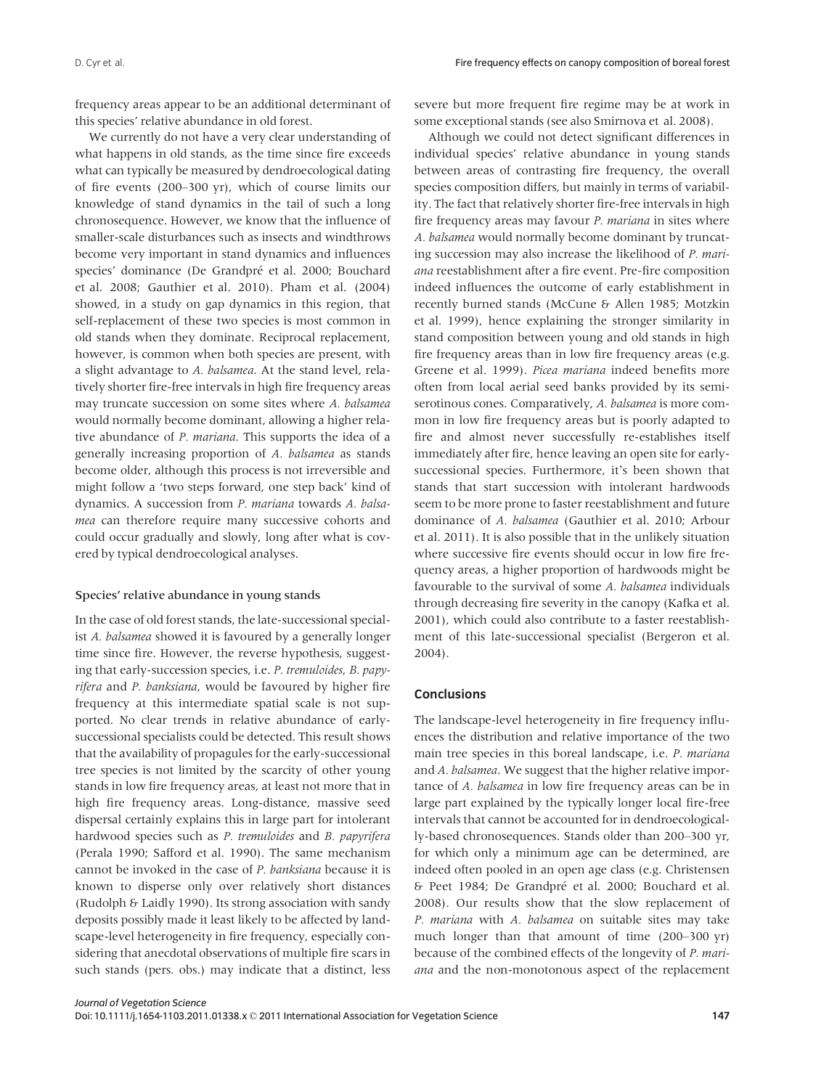frequency areas appear to be an additional determinant of this species' relative abundance in old forest.

We currently do not have a very clear understanding of what happens in old stands, as the time since fire exceeds what can typically be measured by dendroecological dating of fire events (200–300 yr), which of course limits our knowledge of stand dynamics in the tail of such a long chronosequence. However, we know that the influence of smaller-scale disturbances such as insects and windthrows become very important in stand dynamics and influences species' dominance (De Grandpré et al. 2000; Bouchard et al. 2008; Gauthier et al. 2010). Pham et al. (2004) showed, in a study on gap dynamics in this region, that self-replacement of these two species is most common in old stands when they dominate. Reciprocal replacement, however, is common when both species are present, with a slight advantage to A. balsamea. At the stand level, relatively shorter fire-free intervals in high fire frequency areas may truncate succession on some sites where A. balsamea would normally become dominant, allowing a higher relative abundance of P. mariana. This supports the idea of a generally increasing proportion of A. balsamea as stands become older, although this process is not irreversible and might follow a 'two steps forward, one step back' kind of dynamics. A succession from P. mariana towards A. balsamea can therefore require many successive cohorts and could occur gradually and slowly, long after what is covered by typical dendroecological analyses.

## Species' relative abundance in young stands

In the case of old forest stands, the late-successional specialist A. balsamea showed it is favoured by a generally longer time since fire. However, the reverse hypothesis, suggesting that early-succession species, i.e. P. tremuloides, B. papyrifera and P. banksiana, would be favoured by higher fire frequency at this intermediate spatial scale is not supported. No clear trends in relative abundance of earlysuccessional specialists could be detected. This result shows that the availability of propagules for the early-successional tree species is not limited by the scarcity of other young stands in low fire frequency areas, at least not more that in high fire frequency areas. Long-distance, massive seed dispersal certainly explains this in large part for intolerant hardwood species such as P. tremuloides and B. papyrifera (Perala 1990; Safford et al. 1990). The same mechanism cannot be invoked in the case of P. banksiana because it is known to disperse only over relatively short distances (Rudolph & Laidly 1990). Its strong association with sandy deposits possibly made it least likely to be affected by landscape-level heterogeneity in fire frequency, especially considering that anecdotal observations of multiple fire scars in such stands (pers. obs.) may indicate that a distinct, less severe but more frequent fire regime may be at work in some exceptional stands (see also Smirnova et al. 2008).

Although we could not detect significant differences in individual species' relative abundance in young stands between areas of contrasting fire frequency, the overall species composition differs, but mainly in terms of variability. The fact that relatively shorter fire-free intervals in high fire frequency areas may favour P. mariana in sites where A. balsamea would normally become dominant by truncating succession may also increase the likelihood of P. mariana reestablishment after a fire event. Pre-fire composition indeed influences the outcome of early establishment in recently burned stands (McCune & Allen 1985; Motzkin et al. 1999), hence explaining the stronger similarity in stand composition between young and old stands in high fire frequency areas than in low fire frequency areas (e.g. Greene et al. 1999). Picea mariana indeed benefits more often from local aerial seed banks provided by its semiserotinous cones. Comparatively, A. balsamea is more common in low fire frequency areas but is poorly adapted to fire and almost never successfully re-establishes itself immediately after fire, hence leaving an open site for earlysuccessional species. Furthermore, it's been shown that stands that start succession with intolerant hardwoods seem to be more prone to faster reestablishment and future dominance of A. balsamea (Gauthier et al. 2010; Arbour et al. 2011). It is also possible that in the unlikely situation where successive fire events should occur in low fire frequency areas, a higher proportion of hardwoods might be favourable to the survival of some A. balsamea individuals through decreasing fire severity in the canopy (Kafka et al. 2001), which could also contribute to a faster reestablishment of this late-successional specialist (Bergeron et al. 2004).

## Conclusions

The landscape-level heterogeneity in fire frequency influences the distribution and relative importance of the two main tree species in this boreal landscape, i.e. P. mariana and A. balsamea. We suggest that the higher relative importance of A. balsamea in low fire frequency areas can be in large part explained by the typically longer local fire-free intervals that cannot be accounted for in dendroecologically-based chronosequences. Stands older than 200–300 yr, for which only a minimum age can be determined, are indeed often pooled in an open age class (e.g. Christensen & Peet 1984; De Grandpré et al. 2000; Bouchard et al. 2008). Our results show that the slow replacement of P. mariana with A. balsamea on suitable sites may take much longer than that amount of time (200–300 yr) because of the combined effects of the longevity of P. mariana and the non-monotonous aspect of the replacement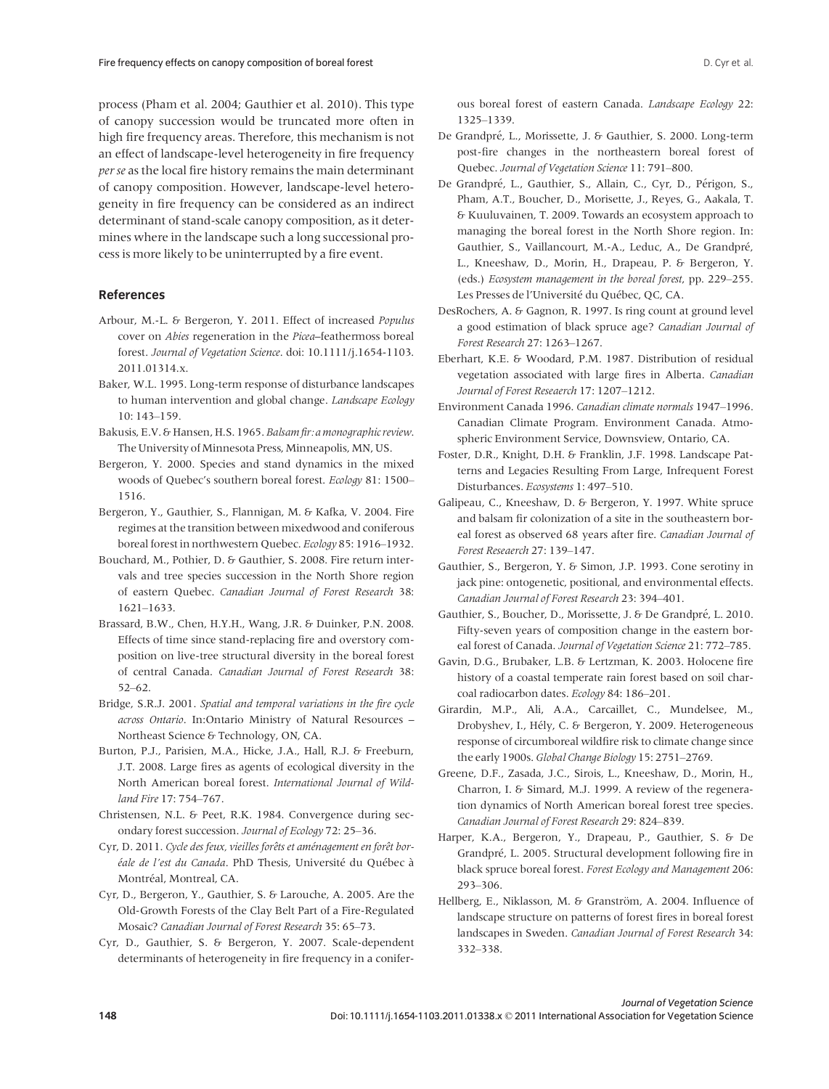process (Pham et al. 2004; Gauthier et al. 2010). This type of canopy succession would be truncated more often in high fire frequency areas. Therefore, this mechanism is not an effect of landscape-level heterogeneity in fire frequency per se as the local fire history remains the main determinant of canopy composition. However, landscape-level heterogeneity in fire frequency can be considered as an indirect determinant of stand-scale canopy composition, as it determines where in the landscape such a long successional process is more likely to be uninterrupted by a fire event.

## References

- Arbour, M.-L. & Bergeron, Y. 2011. Effect of increased Populus cover on Abies regeneration in the Picea–feathermoss boreal forest. Journal of Vegetation Science. doi: 10.1111/j.1654-1103. 2011.01314.x.
- Baker, W.L. 1995. Long-term response of disturbance landscapes to human intervention and global change. Landscape Ecology 10: 143–159.
- Bakusis, E.V. & Hansen, H.S. 1965. Balsam fir: a monographic review. The University of Minnesota Press, Minneapolis, MN, US.
- Bergeron, Y. 2000. Species and stand dynamics in the mixed woods of Quebec's southern boreal forest. Ecology 81: 1500– 1516.
- Bergeron, Y., Gauthier, S., Flannigan, M. & Kafka, V. 2004. Fire regimes at the transition between mixedwood and coniferous boreal forest in northwestern Quebec. Ecology 85: 1916–1932.
- Bouchard, M., Pothier, D. & Gauthier, S. 2008. Fire return intervals and tree species succession in the North Shore region of eastern Quebec. Canadian Journal of Forest Research 38: 1621–1633.
- Brassard, B.W., Chen, H.Y.H., Wang, J.R. & Duinker, P.N. 2008. Effects of time since stand-replacing fire and overstory composition on live-tree structural diversity in the boreal forest of central Canada. Canadian Journal of Forest Research 38: 52–62.
- Bridge, S.R.J. 2001. Spatial and temporal variations in the fire cycle across Ontario. In:Ontario Ministry of Natural Resources – Northeast Science & Technology, ON, CA.
- Burton, P.J., Parisien, M.A., Hicke, J.A., Hall, R.J. & Freeburn, J.T. 2008. Large fires as agents of ecological diversity in the North American boreal forest. International Journal of Wildland Fire 17: 754–767.
- Christensen, N.L. & Peet, R.K. 1984. Convergence during secondary forest succession. Journal of Ecology 72: 25–36.
- Cyr, D. 2011. Cycle des feux, vieilles forêts et aménagement en forêt boréale de l'est du Canada. PhD Thesis, Université du Québec à Montréal, Montreal, CA.
- Cyr, D., Bergeron, Y., Gauthier, S. & Larouche, A. 2005. Are the Old-Growth Forests of the Clay Belt Part of a Fire-Regulated Mosaic? Canadian Journal of Forest Research 35: 65–73.
- Cyr, D., Gauthier, S. & Bergeron, Y. 2007. Scale-dependent determinants of heterogeneity in fire frequency in a conifer-

ous boreal forest of eastern Canada. Landscape Ecology 22: 1325–1339.

- De Grandpré, L., Morissette, J. & Gauthier, S. 2000. Long-term post-fire changes in the northeastern boreal forest of Quebec. Journal of Vegetation Science 11: 791–800.
- De Grandpré, L., Gauthier, S., Allain, C., Cyr, D., Périgon, S., Pham, A.T., Boucher, D., Morisette, J., Reyes, G., Aakala, T. & Kuuluvainen, T. 2009. Towards an ecosystem approach to managing the boreal forest in the North Shore region. In: Gauthier, S., Vaillancourt, M.-A., Leduc, A., De Grandpré, L., Kneeshaw, D., Morin, H., Drapeau, P. & Bergeron, Y. (eds.) Ecosystem management in the boreal forest, pp. 229–255. Les Presses de l'Université du Québec, QC, CA.
- DesRochers, A. & Gagnon, R. 1997. Is ring count at ground level a good estimation of black spruce age? Canadian Journal of Forest Research 27: 1263–1267.
- Eberhart, K.E. & Woodard, P.M. 1987. Distribution of residual vegetation associated with large fires in Alberta. Canadian Journal of Forest Reseaerch 17: 1207–1212.
- Environment Canada 1996. Canadian climate normals 1947–1996. Canadian Climate Program. Environment Canada. Atmospheric Environment Service, Downsview, Ontario, CA.
- Foster, D.R., Knight, D.H. & Franklin, J.F. 1998. Landscape Patterns and Legacies Resulting From Large, Infrequent Forest Disturbances. Ecosystems 1: 497–510.
- Galipeau, C., Kneeshaw, D. & Bergeron, Y. 1997. White spruce and balsam fir colonization of a site in the southeastern boreal forest as observed 68 years after fire. Canadian Journal of Forest Reseaerch 27: 139–147.
- Gauthier, S., Bergeron, Y. & Simon, J.P. 1993. Cone serotiny in jack pine: ontogenetic, positional, and environmental effects. Canadian Journal of Forest Research 23: 394–401.
- Gauthier, S., Boucher, D., Morissette, J. & De Grandpré, L. 2010. Fifty-seven years of composition change in the eastern boreal forest of Canada. Journal of Vegetation Science 21: 772–785.
- Gavin, D.G., Brubaker, L.B. & Lertzman, K. 2003. Holocene fire history of a coastal temperate rain forest based on soil charcoal radiocarbon dates. Ecology 84: 186–201.
- Girardin, M.P., Ali, A.A., Carcaillet, C., Mundelsee, M., Drobyshev, I., Hély, C. & Bergeron, Y. 2009. Heterogeneous response of circumboreal wildfire risk to climate change since the early 1900s. Global Change Biology 15: 2751–2769.
- Greene, D.F., Zasada, J.C., Sirois, L., Kneeshaw, D., Morin, H., Charron, I. & Simard, M.J. 1999. A review of the regeneration dynamics of North American boreal forest tree species. Canadian Journal of Forest Research 29: 824–839.
- Harper, K.A., Bergeron, Y., Drapeau, P., Gauthier, S. & De Grandpré, L. 2005. Structural development following fire in black spruce boreal forest. Forest Ecology and Management 206: 293–306.
- Hellberg, E., Niklasson, M. & Granström, A. 2004. Influence of landscape structure on patterns of forest fires in boreal forest landscapes in Sweden. Canadian Journal of Forest Research 34: 332–338.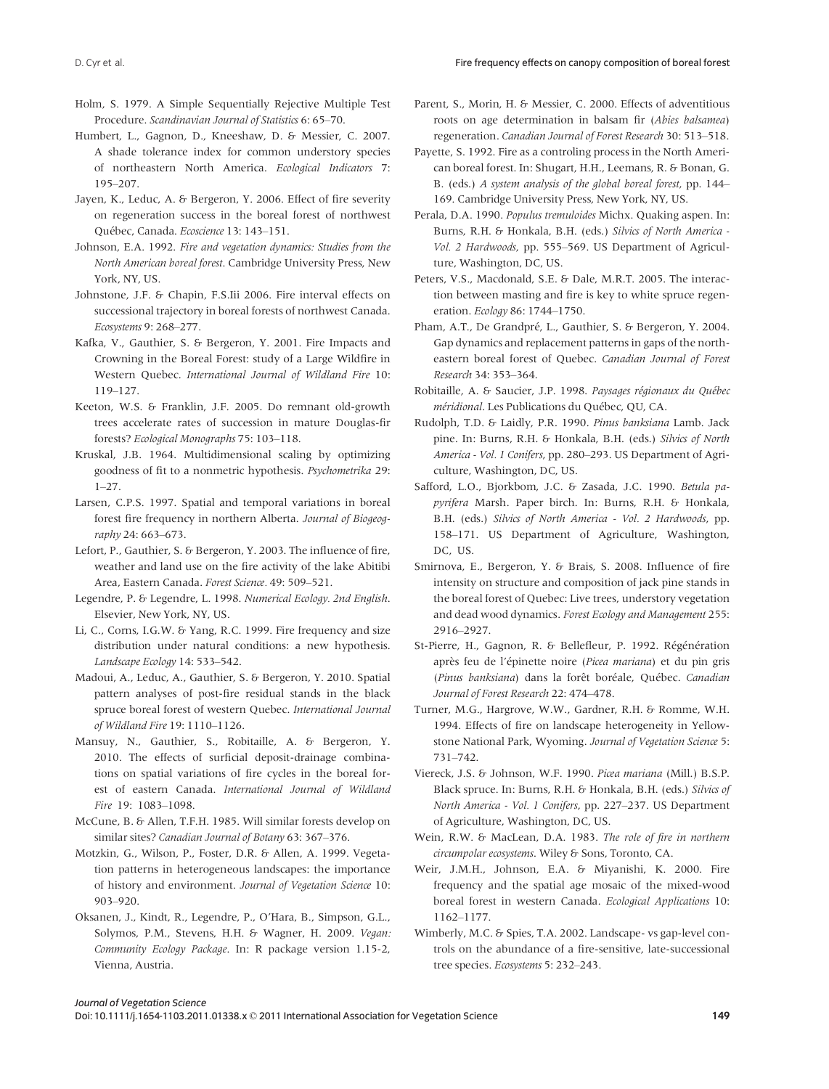- Holm, S. 1979. A Simple Sequentially Rejective Multiple Test Procedure. Scandinavian Journal of Statistics 6: 65–70.
- Humbert, L., Gagnon, D., Kneeshaw, D. & Messier, C. 2007. A shade tolerance index for common understory species of northeastern North America. Ecological Indicators 7: 195–207.
- Jayen, K., Leduc, A. & Bergeron, Y. 2006. Effect of fire severity on regeneration success in the boreal forest of northwest Québec, Canada. Ecoscience 13: 143-151.
- Johnson, E.A. 1992. Fire and vegetation dynamics: Studies from the North American boreal forest. Cambridge University Press, New York, NY, US.
- Johnstone, J.F. & Chapin, F.S.Iii 2006. Fire interval effects on successional trajectory in boreal forests of northwest Canada. Ecosystems 9: 268–277.
- Kafka, V., Gauthier, S. & Bergeron, Y. 2001. Fire Impacts and Crowning in the Boreal Forest: study of a Large Wildfire in Western Quebec. International Journal of Wildland Fire 10: 119–127.
- Keeton, W.S. & Franklin, J.F. 2005. Do remnant old-growth trees accelerate rates of succession in mature Douglas-fir forests? Ecological Monographs 75: 103–118.
- Kruskal, J.B. 1964. Multidimensional scaling by optimizing goodness of fit to a nonmetric hypothesis. Psychometrika 29:  $1 - 27$
- Larsen, C.P.S. 1997. Spatial and temporal variations in boreal forest fire frequency in northern Alberta. Journal of Biogeography 24: 663–673.
- Lefort, P., Gauthier, S. & Bergeron, Y. 2003. The influence of fire, weather and land use on the fire activity of the lake Abitibi Area, Eastern Canada. Forest Science. 49: 509-521.
- Legendre, P. & Legendre, L. 1998. Numerical Ecology. 2nd English. Elsevier, New York, NY, US.
- Li, C., Corns, I.G.W. & Yang, R.C. 1999. Fire frequency and size distribution under natural conditions: a new hypothesis. Landscape Ecology 14: 533–542.
- Madoui, A., Leduc, A., Gauthier, S. & Bergeron, Y. 2010. Spatial pattern analyses of post-fire residual stands in the black spruce boreal forest of western Quebec. International Journal of Wildland Fire 19: 1110–1126.
- Mansuy, N., Gauthier, S., Robitaille, A. & Bergeron, Y. 2010. The effects of surficial deposit-drainage combinations on spatial variations of fire cycles in the boreal forest of eastern Canada. International Journal of Wildland Fire 19: 1083–1098.
- McCune, B. & Allen, T.F.H. 1985. Will similar forests develop on similar sites? Canadian Journal of Botany 63: 367–376.
- Motzkin, G., Wilson, P., Foster, D.R. & Allen, A. 1999. Vegetation patterns in heterogeneous landscapes: the importance of history and environment. Journal of Vegetation Science 10: 903–920.
- Oksanen, J., Kindt, R., Legendre, P., O'Hara, B., Simpson, G.L., Solymos, P.M., Stevens, H.H. & Wagner, H. 2009. Vegan: Community Ecology Package. In: R package version 1.15-2, Vienna, Austria.
- Parent, S., Morin, H. & Messier, C. 2000. Effects of adventitious roots on age determination in balsam fir (Abies balsamea) regeneration. Canadian Journal of Forest Research 30: 513–518.
- Payette, S. 1992. Fire as a controling process in the North American boreal forest. In: Shugart, H.H., Leemans, R. & Bonan, G. B. (eds.) A system analysis of the global boreal forest, pp. 144– 169. Cambridge University Press, New York, NY, US.
- Perala, D.A. 1990. Populus tremuloides Michx. Quaking aspen. In: Burns, R.H. & Honkala, B.H. (eds.) Silvics of North America - Vol. 2 Hardwoods, pp. 555–569. US Department of Agriculture, Washington, DC, US.
- Peters, V.S., Macdonald, S.E. & Dale, M.R.T. 2005. The interaction between masting and fire is key to white spruce regeneration. Ecology 86: 1744–1750.
- Pham, A.T., De Grandpré, L., Gauthier, S. & Bergeron, Y. 2004. Gap dynamics and replacement patterns in gaps of the northeastern boreal forest of Quebec. Canadian Journal of Forest Research 34: 353–364.
- Robitaille, A. & Saucier, J.P. 1998. Paysages régionaux du Québec méridional. Les Publications du Ouébec. OU. CA.
- Rudolph, T.D. & Laidly, P.R. 1990. Pinus banksiana Lamb. Jack pine. In: Burns, R.H. & Honkala, B.H. (eds.) Silvics of North America - Vol. 1 Conifers, pp. 280–293. US Department of Agriculture, Washington, DC, US.
- Safford, L.O., Bjorkbom, J.C. & Zasada, J.C. 1990. Betula papyrifera Marsh. Paper birch. In: Burns, R.H. & Honkala, B.H. (eds.) Silvics of North America - Vol. 2 Hardwoods, pp. 158–171. US Department of Agriculture, Washington, DC, US.
- Smirnova, E., Bergeron, Y. & Brais, S. 2008. Influence of fire intensity on structure and composition of jack pine stands in the boreal forest of Quebec: Live trees, understory vegetation and dead wood dynamics. Forest Ecology and Management 255: 2916–2927.
- St-Pierre, H., Gagnon, R. & Bellefleur, P. 1992. Régénération après feu de l'épinette noire (Picea mariana) et du pin gris (Pinus banksiana) dans la forêt boréale, Québec. Canadian Journal of Forest Research 22: 474–478.
- Turner, M.G., Hargrove, W.W., Gardner, R.H. & Romme, W.H. 1994. Effects of fire on landscape heterogeneity in Yellowstone National Park, Wyoming. Journal of Vegetation Science 5: 731–742.
- Viereck, J.S. & Johnson, W.F. 1990. Picea mariana (Mill.) B.S.P. Black spruce. In: Burns, R.H. & Honkala, B.H. (eds.) Silvics of North America - Vol. 1 Conifers, pp. 227–237. US Department of Agriculture, Washington, DC, US.
- Wein, R.W. & MacLean, D.A. 1983. The role of fire in northern circumpolar ecosystems. Wiley & Sons, Toronto, CA.
- Weir, J.M.H., Johnson, E.A. & Miyanishi, K. 2000. Fire frequency and the spatial age mosaic of the mixed-wood boreal forest in western Canada. Ecological Applications 10: 1162–1177.
- Wimberly, M.C. & Spies, T.A. 2002. Landscape- vs gap-level controls on the abundance of a fire-sensitive, late-successional tree species. Ecosystems 5: 232–243.